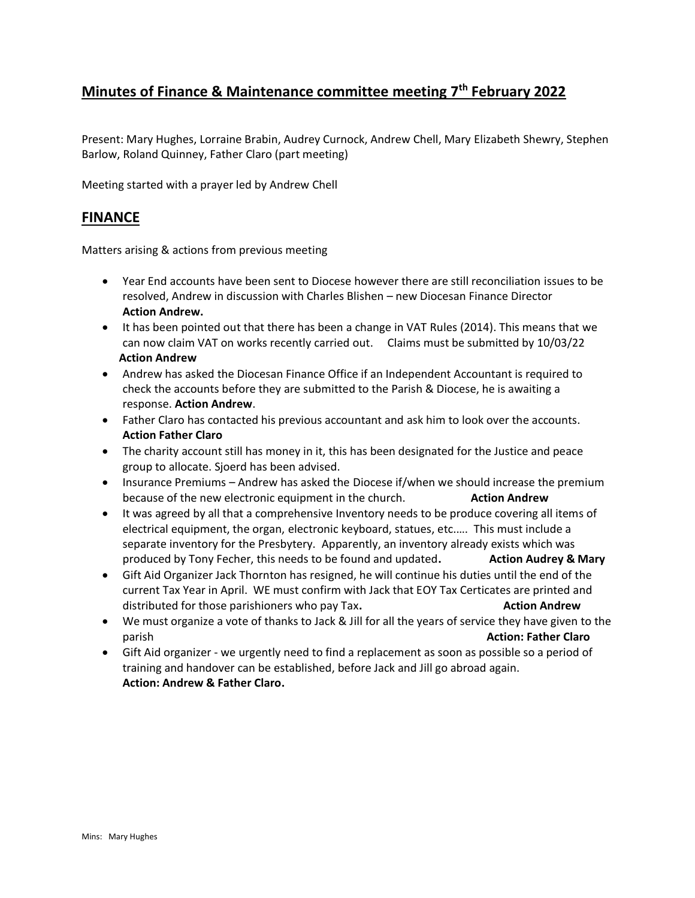# **Minutes of Finance & Maintenance committee meeting 7th February 2022**

Present: Mary Hughes, Lorraine Brabin, Audrey Curnock, Andrew Chell, Mary Elizabeth Shewry, Stephen Barlow, Roland Quinney, Father Claro (part meeting)

Meeting started with a prayer led by Andrew Chell

#### **FINANCE**

Matters arising & actions from previous meeting

- Year End accounts have been sent to Diocese however there are still reconciliation issues to be resolved, Andrew in discussion with Charles Blishen – new Diocesan Finance Director **Action Andrew.**
- It has been pointed out that there has been a change in VAT Rules (2014). This means that we can now claim VAT on works recently carried out. Claims must be submitted by 10/03/22  **Action Andrew**
- Andrew has asked the Diocesan Finance Office if an Independent Accountant is required to check the accounts before they are submitted to the Parish & Diocese, he is awaiting a response. **Action Andrew**.
- Father Claro has contacted his previous accountant and ask him to look over the accounts. **Action Father Claro**
- The charity account still has money in it, this has been designated for the Justice and peace group to allocate. Sjoerd has been advised.
- Insurance Premiums Andrew has asked the Diocese if/when we should increase the premium because of the new electronic equipment in the church. **Action Andrew**
- It was agreed by all that a comprehensive Inventory needs to be produce covering all items of electrical equipment, the organ, electronic keyboard, statues, etc.…. This must include a separate inventory for the Presbytery. Apparently, an inventory already exists which was produced by Tony Fecher, this needs to be found and updated. **Action Audrey & Mary**
- Gift Aid Organizer Jack Thornton has resigned, he will continue his duties until the end of the current Tax Year in April. WE must confirm with Jack that EOY Tax Certicates are printed and distributed for those parishioners who pay Tax. **Action Andrew Action Andrew**
- We must organize a vote of thanks to Jack & Jill for all the years of service they have given to the parish **Action: Father Claro**
- Gift Aid organizer we urgently need to find a replacement as soon as possible so a period of training and handover can be established, before Jack and Jill go abroad again. **Action: Andrew & Father Claro.**